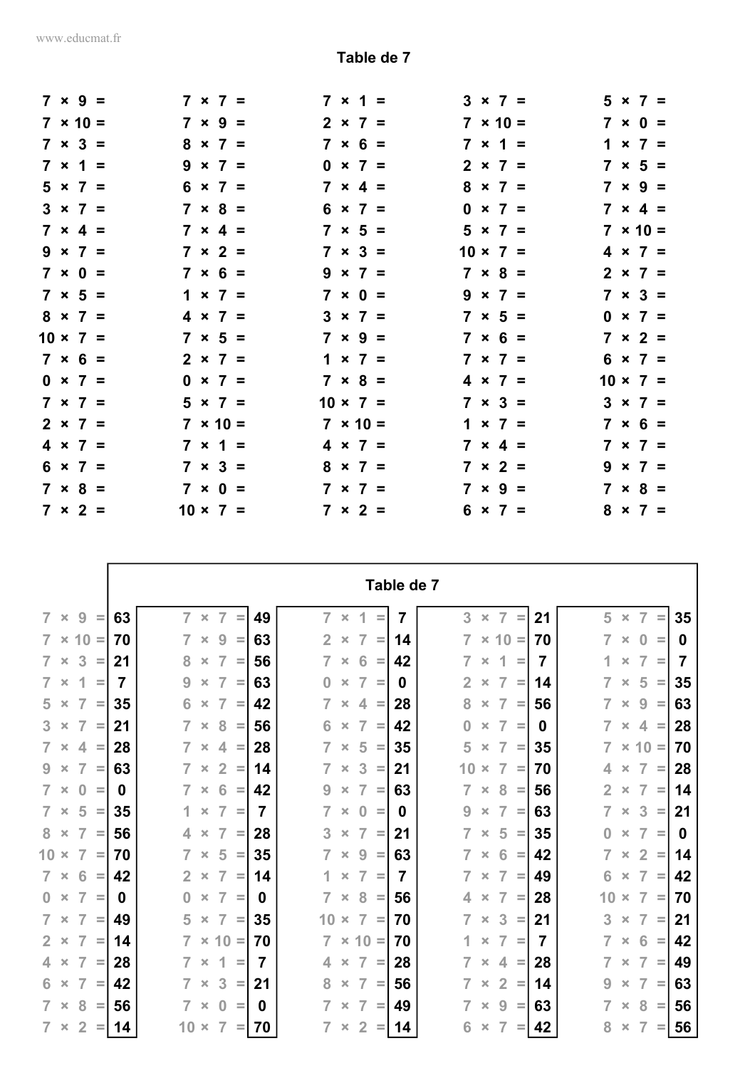r

|  | $7 \times 9 =$  |  | $7 \times 7 =$  |  | $7 \times 1 =$  |  | $3 \times 7 =$<br>$5 \times 7 =$  |
|--|-----------------|--|-----------------|--|-----------------|--|-----------------------------------|
|  | $7 \times 10 =$ |  | $7 \times 9 =$  |  | $2 \times 7 =$  |  | $7 \times 10 =$<br>$7 \times 0 =$ |
|  | $7 \times 3 =$  |  | $8 \times 7 =$  |  | $7 \times 6 =$  |  | $7 \times 1 =$<br>$1 \times 7 =$  |
|  | $7 \times 1 =$  |  | $9 \times 7 =$  |  | $0 \times 7 =$  |  | $7 \times 5 =$<br>$2 \times 7 =$  |
|  | $5 \times 7 =$  |  | $6 \times 7 =$  |  | $7 \times 4 =$  |  | $8 \times 7 =$<br>$7 \times 9 =$  |
|  | $3 \times 7 =$  |  | $7 \times 8 =$  |  | $6 \times 7 =$  |  | $7 \times 4 =$<br>$0 \times 7 =$  |
|  | $7 \times 4 =$  |  | $7 \times 4 =$  |  | $7 \times 5 =$  |  | $5 \times 7 =$<br>$7 \times 10 =$ |
|  | $9 \times 7 =$  |  | $7 \times 2 =$  |  | $7 \times 3 =$  |  | $10 \times 7 =$<br>$4 \times 7 =$ |
|  | $7 \times 0 =$  |  | $7 \times 6 =$  |  | $9 \times 7 =$  |  | $7 \times 8 =$<br>$2 \times 7 =$  |
|  | $7 \times 5 =$  |  | $1 \times 7 =$  |  | $7 \times 0 =$  |  | $7 \times 3 =$<br>$9 \times 7 =$  |
|  | $8 \times 7 =$  |  | $4 \times 7 =$  |  | $3 \times 7 =$  |  | $7 \times 5 =$<br>$0 \times 7 =$  |
|  | $10 \times 7 =$ |  | $7 \times 5 =$  |  | $7 \times 9 =$  |  | $7 \times 6 =$<br>$7 \times 2 =$  |
|  | $7 \times 6 =$  |  | $2 \times 7 =$  |  | $1 \times 7 =$  |  | $7 \times 7 =$<br>$6 \times 7 =$  |
|  | $0 \times 7 =$  |  | $0 \times 7 =$  |  | $7 \times 8 =$  |  | $4 \times 7 =$<br>$10 \times 7 =$ |
|  | $7 \times 7 =$  |  | $5 \times 7 =$  |  | $10 \times 7 =$ |  | $7 \times 3 =$<br>$3 \times 7 =$  |
|  | $2 \times 7 =$  |  | $7 \times 10 =$ |  | $7 \times 10 =$ |  | $7 \times 6 =$<br>$1 \times 7 =$  |
|  | $4 \times 7 =$  |  | $7 \times 1 =$  |  | $4 \times 7 =$  |  | $7 \times 4 =$<br>$7 \times 7 =$  |
|  | $6 \times 7 =$  |  | $7 \times 3 =$  |  | $8 \times 7 =$  |  | $7 \times 2 =$<br>$9 \times 7 =$  |
|  | $7 \times 8 =$  |  | $7 \times 0 =$  |  | $7 \times 7 =$  |  | $7 \times 9 =$<br>$7 \times 8 =$  |
|  | $7 \times 2 =$  |  | $10 \times 7 =$ |  | $7 \times 2 =$  |  | $6 \times 7 =$<br>$8 \times 7 =$  |

|                                                                |    |                |                |                |                    |    |                |                                  |          | Table de 7 |                |                                  |               |                |                |                |                |          |    |
|----------------------------------------------------------------|----|----------------|----------------|----------------|--------------------|----|----------------|----------------------------------|----------|------------|----------------|----------------------------------|---------------|----------------|----------------|----------------|----------------|----------|----|
| $7 \times$<br>9<br>$\equiv$                                    | 63 |                | $7 \times$     | $\overline{7}$ | $\equiv$           | 49 | $\overline{7}$ | 1<br>$\pmb{\times}$              | $=$      | 7          | 3              | $\overline{7}$<br>$\pmb{\times}$ | $\equiv$      | 21             | 5              | $\pmb{\times}$ | 7              | $\equiv$ | 35 |
| $7 \times 10 =$                                                | 70 | 7              | $\pmb{\times}$ | 9              | Ξ                  | 63 | $\overline{2}$ | $\overline{7}$<br>$\times$       | $\equiv$ | 14         | $\overline{7}$ |                                  | $\times$ 10 = | 70             | $\overline{7}$ | $\pmb{\times}$ | $\bf{0}$       | Ξ        | 0  |
| 3<br>$7 \times$<br>$\equiv$                                    | 21 | 8              | $\times$       | $\overline{7}$ | $\equiv$           | 56 | $\overline{7}$ | 6<br>$\times$                    | $\equiv$ | 42         | 7              | 1<br>$\pmb{\times}$              | $\equiv$      | 7              | 1              | $\pmb{\times}$ | 7              | $\equiv$ | 7  |
| $\overline{\mathcal{L}}$<br>$7 \times$<br>$\equiv$             | 7  | 9              | $\pmb{\times}$ | $\overline{7}$ | $\equiv$           | 63 | $\bf{0}$       | $\overline{7}$<br>$\pmb{\times}$ | $\equiv$ | 0          | $\overline{2}$ | $\overline{7}$<br>$\pmb{\times}$ | $\equiv$      | 14             | $\overline{7}$ | $\pmb{\times}$ | 5              | $\equiv$ | 35 |
| $5 \times$<br>$\overline{7}$<br>$\equiv$                       | 35 | 6              | $\pmb{\times}$ | $\overline{7}$ | $\equiv$           | 42 | $\overline{7}$ | 4<br>$\pmb{\times}$              | $\equiv$ | 28         | 8              | $\overline{7}$<br>$\pmb{\times}$ | $\equiv$      | 56             | $\overline{7}$ | $\times$       | 9              | $\equiv$ | 63 |
| $3 \times$<br>$\overline{7}$<br>$\equiv$                       | 21 | $\overline{7}$ | $\pmb{\times}$ | 8              | $\equiv$           | 56 | 6              | $\overline{7}$<br>$\pmb{\times}$ | $\equiv$ | 42         | $\bf{0}$       | $\overline{7}$<br>$\pmb{\times}$ | $\equiv$      | 0              | $\overline{7}$ | $\times$       | 4              | $\equiv$ | 28 |
| $7 \times$<br>$4 =$                                            | 28 | $\overline{7}$ | $\pmb{\times}$ | $\overline{4}$ | $\equiv$           | 28 | $\overline{7}$ | 5<br>$\pmb{\times}$              | $\equiv$ | 35         | 5              | $\overline{7}$<br>$\pmb{\times}$ | $\equiv$      | 35             | $\overline{7}$ |                | $\times$ 10 =  |          | 70 |
| $\overline{7}$<br>$9 \times$<br>$\equiv$                       | 63 | $\overline{7}$ | $\times$       | $\overline{2}$ | $\equiv$           | 14 | $\overline{7}$ | 3<br>$\times$                    | $\equiv$ | 21         | 10             | $\overline{7}$<br>$\times$       | $\equiv$      | 70             | 4              | $\pmb{\times}$ | $\overline{7}$ | $\equiv$ | 28 |
| $7 \times$<br>$\overline{0}$<br>$\equiv$                       | 0  | $\overline{7}$ | $\pmb{\times}$ | 6              | $\equiv$           | 42 | 9              | $\overline{7}$<br>$\times$       | $\equiv$ | 63         | 7              | 8<br>$\pmb{\times}$              | $\equiv$      | 56             | $\overline{2}$ | $\pmb{\times}$ | 7              | $\equiv$ | 14 |
| 5<br>$7 \times$<br>$\equiv$                                    | 35 | 1.             | $\pmb{\times}$ | $\overline{7}$ | $\equiv$           | 7  | $\overline{7}$ | $\bf{0}$<br>$\pmb{\times}$       | $\equiv$ | 0          | 9              | $\overline{7}$<br>$\times$       | $\equiv$      | 63             | $\overline{7}$ | $\times$       | 3              | $\equiv$ | 21 |
| $8 \times$<br>$\overline{7}$<br>$\equiv$                       | 56 | 4              | $\times$       | $\overline{7}$ | $\equiv$           | 28 | 3              | $\overline{7}$<br>$\pmb{\times}$ | $\equiv$ | 21         | $\overline{7}$ | 5<br>$\pmb{\times}$              | $\equiv$      | 35             | $\bf{0}$       | $\pmb{\times}$ | $\overline{7}$ | $\equiv$ | 0  |
| $10 \times$<br>$\overline{7}$<br>$\equiv$                      | 70 | $\overline{7}$ | $\pmb{\times}$ | 5              | $\equiv$           | 35 | $\overline{7}$ | 9<br>$\pmb{\times}$              | $\equiv$ | 63         | 7              | 6<br>$\pmb{\times}$              | $\equiv$      | 42             | 7              | $\pmb{\times}$ | $\overline{2}$ | $\equiv$ | 14 |
| $7 \times$<br>6<br>$\equiv$                                    | 42 | 2 <sup>1</sup> | $\pmb{\times}$ | $\overline{7}$ | $\equiv$           | 14 | 1.             | $\overline{7}$<br>$\pmb{\times}$ | $\equiv$ | 7          | $\overline{7}$ | $\overline{7}$<br>$\pmb{\times}$ | $\equiv$      | 49             | 6              | $\times$       | $\overline{7}$ | $\equiv$ | 42 |
| $\overline{7}$<br>$0 \times$<br>$\equiv$                       | 0  | $\bf{0}$       | $\pmb{\times}$ | $\overline{7}$ | $\equiv$           | 0  | $\overline{7}$ | 8<br>$\pmb{\times}$              | $\equiv$ | 56         | 4              | $\overline{7}$<br>$\times$       | $\equiv$      | 28             | 10             | $\pmb{\times}$ | $\overline{7}$ | $\equiv$ | 70 |
| $7 \times$<br>7<br>$\equiv$                                    | 49 | 5              | $\pmb{\times}$ | $\overline{7}$ | $\equiv$           | 35 | 10             | $\overline{7}$<br>$\times$       | $\equiv$ | 70         | 7              | 3<br>$\pmb{\times}$              | $\equiv$      | 21             | 3              | $\pmb{\times}$ | 7              | $\equiv$ | 21 |
| $2 \times$<br>$\overline{7}$<br>$\equiv$                       | 14 | $\overline{7}$ |                | $\times$ 10 =  |                    | 70 | $\overline{7}$ | $\times$ 10 =                    |          | 70         | 1.             | $\overline{7}$<br>$\pmb{\times}$ | $\equiv$      | $\overline{7}$ | $\overline{7}$ | $\pmb{\times}$ | 6              | $\equiv$ | 42 |
| $\overline{4}$<br>$\overline{7}$<br>$\pmb{\times}$<br>$\equiv$ | 28 | $\overline{7}$ | $\pmb{\times}$ | 1              | $=$                | 7  | 4              | $\overline{7}$<br>$\pmb{\times}$ | $\equiv$ | 28         | $\overline{7}$ | $\overline{4}$<br>$\pmb{\times}$ | $\equiv$      | 28             | $\overline{7}$ | $\pmb{\times}$ | $\overline{7}$ | $\equiv$ | 49 |
| $\overline{7}$<br>$6 \times$<br>$\equiv$                       | 42 |                | $\pmb{\times}$ | 3              | $\equiv$           | 21 | 8              | $\overline{7}$<br>$\times$       | $\equiv$ | 56         | $\overline{7}$ | $\overline{2}$<br>$\times$       | $\equiv$      | 14             | 9              | $\pmb{\times}$ | 7              | $\equiv$ | 63 |
| $7 \times$<br>8<br>$\equiv$                                    | 56 |                | $7 \times$     | $\mathbf{0}$   | $\equiv$           | 0  | $\overline{7}$ | $\overline{7}$<br>$\times$       | $\equiv$ | 49         | $\overline{7}$ | 9<br>$\times$                    | $\equiv$      | 63             | $\overline{7}$ | $\times$       | 8              | $\equiv$ | 56 |
| $7 \times$<br>$\overline{2}$<br>$\equiv$                       | 14 |                | $10 \times$    | $\overline{7}$ | $=$ $\overline{ }$ | 70 | 7              | $\overline{2}$<br>×              | Ξ        | 14         | 6              | 7<br>$\times$                    | $\equiv$      | 42             | 8              | $\pmb{\times}$ | $\overline{7}$ | $=$      | 56 |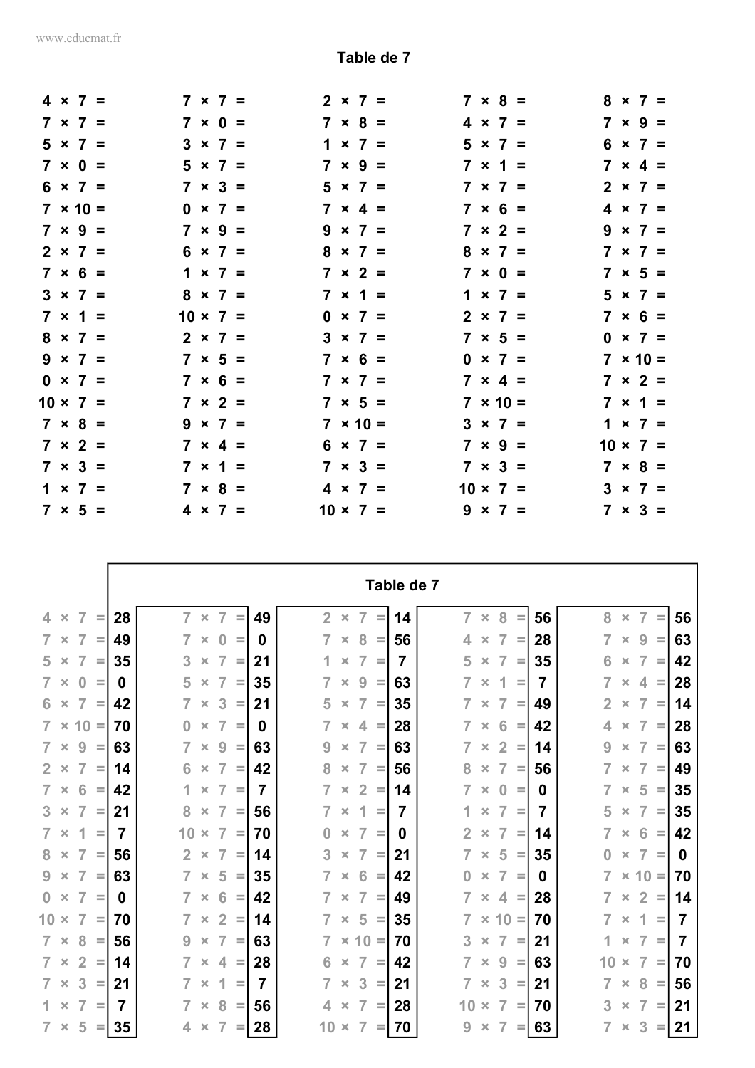|  | $4 \times 7 =$  |  | $7 \times 7 =$  |  |                 | $2 \times 7 =$  | $7 \times 8 =$<br>$8 \times 7 =$  |
|--|-----------------|--|-----------------|--|-----------------|-----------------|-----------------------------------|
|  | $7 \times 7 =$  |  | $7 \times 0 =$  |  |                 | $7 \times 8 =$  | $7 \times 9 =$<br>$4 \times 7 =$  |
|  | $5 \times 7 =$  |  | $3 \times 7 =$  |  |                 | $1 \times 7 =$  | $6 \times 7 =$<br>$5 \times 7 =$  |
|  | $7 \times 0 =$  |  | $5 \times 7 =$  |  |                 | $7 \times 9 =$  | $7 \times 1 =$<br>$7 \times 4 =$  |
|  | $6 \times 7 =$  |  | $7 \times 3 =$  |  |                 | $5 \times 7 =$  | $7 \times 7 =$<br>$2 \times 7 =$  |
|  | $7 \times 10 =$ |  | $0 \times 7 =$  |  |                 | $7 \times 4 =$  | $7 \times 6 =$<br>$4 \times 7 =$  |
|  | $7 \times 9 =$  |  | $7 \times 9 =$  |  |                 | $9 \times 7 =$  | $7 \times 2 =$<br>$9 \times 7 =$  |
|  | $2 \times 7 =$  |  | $6 \times 7 =$  |  |                 | $8 \times 7 =$  | $8 \times 7 =$<br>$7 \times 7 =$  |
|  | $7 \times 6 =$  |  | $1 \times 7 =$  |  |                 | $7 \times 2 =$  | $7 \times 0 =$<br>$7 \times 5 =$  |
|  | $3 \times 7 =$  |  | $8 \times 7 =$  |  |                 | $7 \times 1 =$  | $1 \times 7 =$<br>$5 \times 7 =$  |
|  | $7 \times 1 =$  |  | $10 \times 7 =$ |  |                 | $0 \times 7 =$  | $7 \times 6 =$<br>$2 \times 7 =$  |
|  | $8 \times 7 =$  |  | $2 \times 7 =$  |  |                 | $3 \times 7 =$  | $7 \times 5 =$<br>$0 \times 7 =$  |
|  | $9 \times 7 =$  |  | $7 \times 5 =$  |  |                 | $7 \times 6 =$  | $7 \times 10 =$<br>$0 \times 7 =$ |
|  | $0 \times 7 =$  |  | $7 \times 6 =$  |  |                 | $7 \times 7 =$  | $7 \times 2 =$<br>$7 \times 4 =$  |
|  | $10 \times 7 =$ |  | $7 \times 2 =$  |  |                 | $7 \times 5 =$  | $7 \times 1 =$<br>$7 \times 10 =$ |
|  | $7 \times 8 =$  |  | $9 \times 7 =$  |  |                 | $7 \times 10 =$ | $3 \times 7 =$<br>$1 \times 7 =$  |
|  | $7 \times 2 =$  |  | $7 \times 4 =$  |  |                 | $6 \times 7 =$  | $7 \times 9 =$<br>$10 \times 7 =$ |
|  | $7 \times 3 =$  |  | $7 \times 1 =$  |  |                 | $7 \times 3 =$  | $7 \times 3 =$<br>$7 \times 8 =$  |
|  | $1 \times 7 =$  |  | $7 \times 8 =$  |  |                 | $4 \times 7 =$  | $10 \times 7 =$<br>$3 \times 7 =$ |
|  | $7 \times 5 =$  |  | $4 \times 7 =$  |  | $10 \times 7 =$ |                 | $9 \times 7 =$<br>$7 \times 3 =$  |

|                                                              |    | Table de 7<br>$7 \times$<br>8<br>$\bar{\mathbf{x}}$ |                |                 |          |                |                |  |                                  |          |    |                |                |                |          |    |                |                    |                |          |    |
|--------------------------------------------------------------|----|-----------------------------------------------------|----------------|-----------------|----------|----------------|----------------|--|----------------------------------|----------|----|----------------|----------------|----------------|----------|----|----------------|--------------------|----------------|----------|----|
| $\overline{7}$<br>4.<br>$\times$<br>$\equiv$                 | 28 |                                                     |                | $\overline{7}$  | $\equiv$ | 49             | 2 <sup>1</sup> |  | $\overline{7}$                   | $=$      | 14 | $\overline{7}$ | $\pmb{\times}$ | 8              |          | 56 |                | $\bar{\mathbf{x}}$ | $\overline{7}$ | $\equiv$ | 56 |
| $\overline{7}$<br>$\overline{7}$<br>$\times$<br>$\equiv$     | 49 |                                                     | $\pmb{\times}$ | $\bf{0}$        | $\equiv$ | <sup>0</sup>   | 7              |  | 8<br>$\pmb{\times}$              | $\equiv$ | 56 | 4              | $\times$       | $\overline{7}$ | $\equiv$ | 28 | 7              | $\times$           | 9              | $\equiv$ | 63 |
| $\overline{7}$<br>$5 \times$<br>$\equiv$                     | 35 | 3                                                   | $\pmb{\times}$ | $\overline{7}$  | =        | 21             |                |  | $\overline{7}$<br>$\pmb{\times}$ | $\equiv$ | 7  | 5              | $\times$       | $\overline{7}$ | $\equiv$ | 35 | 6              | $\pmb{\times}$     | $\overline{7}$ | $\equiv$ | 42 |
| $7 \times$<br>$\bf{0}$<br>$\equiv$                           | 0  | 5                                                   | $\pmb{\times}$ | $\overline{7}$  | $\equiv$ | 35             | 7              |  | 9<br>$\pmb{\times}$              | $\equiv$ | 63 | $\overline{7}$ | $\pmb{\times}$ | 1              | $\equiv$ | 7  | 7              | $\pmb{\times}$     | 4              | $\equiv$ | 28 |
| $\overline{7}$<br>$6 \times$<br>$\equiv$                     | 42 | $\overline{7}$                                      | $\pmb{\times}$ | 3               | $\equiv$ | 21             | 5              |  | $\overline{7}$<br>$\times$       | $\equiv$ | 35 | $\overline{7}$ | $\pmb{\times}$ | $\overline{7}$ | $\equiv$ | 49 | $\overline{2}$ | $\pmb{\times}$     | $\overline{7}$ | $\equiv$ | 14 |
| $7 \times 10 =$                                              | 70 | $\bf{0}$                                            | $\pmb{\times}$ | $\overline{7}$  | $\equiv$ | 0              | $\overline{7}$ |  | 4<br>$\pmb{\times}$              | $\equiv$ | 28 | $\overline{7}$ | $\pmb{\times}$ | 6              | $\equiv$ | 42 | 4              | $\pmb{\times}$     | $\overline{7}$ | $\equiv$ | 28 |
| 9<br>$7 \times$<br>$\equiv$                                  | 63 | $\overline{7}$                                      | $\pmb{\times}$ | 9               | $\equiv$ | 63             | 9              |  | $\overline{7}$<br>$\pmb{\times}$ | $\equiv$ | 63 | $\overline{7}$ | $\pmb{\times}$ | $\overline{2}$ | $\equiv$ | 14 | 9              | $\pmb{\times}$     | $\overline{7}$ | $\equiv$ | 63 |
| $\overline{7}$<br>$2 \times$<br>$\equiv$                     | 14 | 6                                                   | $\pmb{\times}$ | $\overline{7}$  | $\equiv$ | 42             | 8              |  | 7<br>$\times$                    | $\equiv$ | 56 | 8              | $\times$       | $\overline{7}$ | $\equiv$ | 56 |                | $\times$           | $\overline{7}$ | $\equiv$ | 49 |
| 6<br>$7 \times$<br>$\equiv$                                  | 42 | 1                                                   | $\pmb{\times}$ | 7               | $\equiv$ | 7              | $\overline{7}$ |  | $\overline{2}$<br>$\pmb{\times}$ | $\equiv$ | 14 | 7              | $\pmb{\times}$ | $\bf{0}$       | $\equiv$ | 0  | 7              | $\pmb{\times}$     | 5              | $\equiv$ | 35 |
| $\overline{7}$<br>$3 \times$<br>$\equiv$                     | 21 | 8                                                   | $\pmb{\times}$ | $\overline{7}$  | $\equiv$ | 56             | $\overline{7}$ |  | 1<br>$\times$                    | $\equiv$ | 7  | 1              | $\pmb{\times}$ | $\overline{7}$ | $\equiv$ | 7  | 5              | $\pmb{\times}$     | $\overline{7}$ | $\equiv$ | 35 |
| 1<br>$7 \times$<br>$\equiv$                                  | 7  | 10                                                  | $\pmb{\times}$ | $\overline{7}$  | $\equiv$ | 70             | $\bf{0}$       |  | $\overline{7}$<br>$\pmb{\times}$ | $\equiv$ | 0  | $\overline{2}$ | $\times$       | $\overline{7}$ | $\equiv$ | 14 | $\overline{7}$ | $\times$           | 6              | $\equiv$ | 42 |
| 8<br>$\overline{7}$<br>$\times$<br>$\equiv$                  | 56 | $\overline{2}$                                      | $\pmb{\times}$ | $\overline{7}$  | $\equiv$ | 14             | 3              |  | 7<br>$\pmb{\times}$              | $\equiv$ | 21 | $\overline{7}$ | $\times$       | 5              | $\equiv$ | 35 | 0              | $\times$           | 7              | $\equiv$ | 0  |
| 9<br>$\overline{7}$<br>$\mathbf{x}$<br>$=$                   | 63 | $\overline{7}$                                      | $\pmb{\times}$ | 5               | $\equiv$ | 35             | $\overline{7}$ |  | 6<br>$\pmb{\times}$              | $\equiv$ | 42 | $\bf{0}$       | $\times$       | $\overline{7}$ | $\equiv$ | 0  | $\overline{7}$ |                    | $\times$ 10 =  |          | 70 |
| $\mathbf{0}$<br>$\overline{7}$<br>$\pmb{\times}$<br>$\equiv$ | 0  | $\overline{7}$                                      | $\pmb{\times}$ | $6\phantom{1}6$ | $\equiv$ | 42             | 7              |  | $\overline{7}$<br>$\pmb{\times}$ | $\equiv$ | 49 | $\overline{7}$ | $\pmb{\times}$ |                | $4 =$    | 28 | 7              | $\pmb{\times}$     | $\overline{2}$ | $\equiv$ | 14 |
| $10 \times$<br>$\overline{7}$<br>$\equiv$                    | 70 |                                                     | $\pmb{\times}$ | $\overline{2}$  | $\equiv$ | 14             | 7              |  | 5<br>$\pmb{\times}$              | $\equiv$ | 35 | 7              |                | $\times$ 10 =  |          | 70 | 7              | $\pmb{\times}$     | 1              | Ξ        | 7  |
| 8<br>$7 \times$<br>$\equiv$                                  | 56 | 9                                                   | $\pmb{\times}$ | $\overline{7}$  | $\equiv$ | 63             | $\overline{7}$ |  | $\times$ 10 =                    |          | 70 | 3              | $\times$       | $\overline{7}$ | $\equiv$ | 21 | 1              | $\pmb{\times}$     | $\overline{7}$ | $\equiv$ | 7  |
| $\overline{2}$<br>$7 \times$<br>$\equiv$                     | 14 | $\overline{7}$                                      | $\pmb{\times}$ | 4               | $\equiv$ | 28             | 6              |  | $\overline{7}$<br>$\pmb{\times}$ | $\equiv$ | 42 | $\overline{7}$ | $\pmb{\times}$ | 9              | $\equiv$ | 63 | 10             | $\times$           | $\overline{7}$ | $\equiv$ | 70 |
| 3<br>$7 \times$<br>$\equiv$                                  | 21 |                                                     | $\pmb{\times}$ | 1               | $\equiv$ | $\overline{7}$ | $\overline{7}$ |  | 3<br>$\pmb{\times}$              | $\equiv$ | 21 | $\overline{7}$ | $\times$       | 3              | $\equiv$ | 21 | 7              | $\times$           | 8              | $\equiv$ | 56 |
| 1<br>$\overline{7}$<br>$\pmb{\times}$<br>$\equiv$            | 7  | $\overline{7}$                                      | $\pmb{\times}$ | 8               | $\equiv$ | 56             | 4              |  | $\overline{7}$<br>$\pmb{\times}$ | $\equiv$ | 28 | 10             | $\times$       | 7              | $\equiv$ | 70 | 3              | $\pmb{\times}$     | 7              | $\equiv$ | 21 |
| 5<br>$7 \times$<br>$=$                                       | 35 | 4                                                   | $\times$       | $\overline{7}$  | $=$      | 28             | 10             |  | 7<br>$\times$                    | $=$      | 70 | 9              | $\times$       | 7              | $\equiv$ | 63 | 7              | $\pmb{\times}$     | 3              | $=$      | 21 |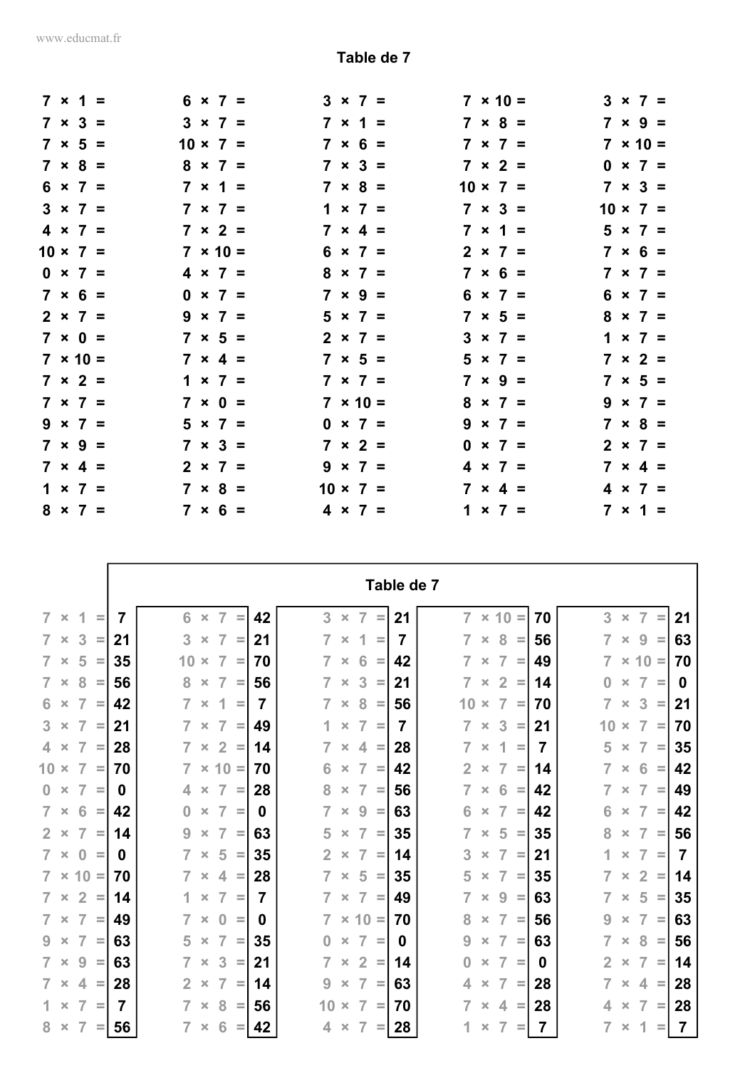r

|  | $7 \times 1 =$  |  | $6 \times 7 =$  |                 | $3 \times 7 =$  | $7 \times 10 =$<br>$3 \times 7 =$ |
|--|-----------------|--|-----------------|-----------------|-----------------|-----------------------------------|
|  | $7 \times 3 =$  |  | $3 \times 7 =$  |                 | $7 \times 1 =$  | $7 \times 9 =$<br>$7 \times 8 =$  |
|  | $7 \times 5 =$  |  | $10 \times 7 =$ |                 | $7 \times 6 =$  | $7 \times 10 =$<br>$7 \times 7 =$ |
|  | $7 \times 8 =$  |  | $8 \times 7 =$  |                 | $7 \times 3 =$  | $7 \times 2 =$<br>$0 \times 7 =$  |
|  | $6 \times 7 =$  |  | $7 \times 1 =$  |                 | $7 \times 8 =$  | $10 \times 7 =$<br>$7 \times 3 =$ |
|  | $3 \times 7 =$  |  | $7 \times 7 =$  |                 | $1 \times 7 =$  | $7 \times 3 =$<br>$10 \times 7 =$ |
|  | $4 \times 7 =$  |  | $7 \times 2 =$  |                 | $7 \times 4 =$  | $7 \times 1 =$<br>$5 \times 7 =$  |
|  | $10 \times 7 =$ |  | $7 \times 10 =$ |                 | $6 \times 7 =$  | $2 \times 7 =$<br>$7 \times 6 =$  |
|  | $0 \times 7 =$  |  | $4 \times 7 =$  |                 | $8 \times 7 =$  | $7 \times 6 =$<br>$7 \times 7 =$  |
|  | $7 × 6 =$       |  | $0 \times 7 =$  |                 | $7 \times 9 =$  | $6 \times 7 =$<br>$6 \times 7 =$  |
|  | $2 \times 7 =$  |  | $9 \times 7 =$  |                 | $5 \times 7 =$  | $7 \times 5 =$<br>$8 \times 7 =$  |
|  | $7 \times 0 =$  |  | $7 \times 5 =$  |                 | $2 \times 7 =$  | $3 \times 7 =$<br>$1 \times 7 =$  |
|  | $7 \times 10 =$ |  | $7 \times 4 =$  |                 | $7 \times 5 =$  | $5 \times 7 =$<br>$7 \times 2 =$  |
|  | $7 \times 2 =$  |  | $1 \times 7 =$  |                 | $7 \times 7 =$  | $7 \times 5 =$<br>$7 \times 9 =$  |
|  | $7 \times 7 =$  |  | $7 \times 0 =$  |                 | $7 \times 10 =$ | $8 \times 7 =$<br>$9 \times 7 =$  |
|  | $9 \times 7 =$  |  | $5 \times 7 =$  |                 | $0 \times 7 =$  | $9 \times 7 =$<br>$7 \times 8 =$  |
|  | $7 \times 9 =$  |  | $7 \times 3 =$  |                 | $7 \times 2 =$  | $2 \times 7 =$<br>$0 \times 7 =$  |
|  | $7 \times 4 =$  |  | $2 \times 7 =$  |                 | $9 \times 7 =$  | $4 \times 7 =$<br>$7 \times 4 =$  |
|  | $1 \times 7 =$  |  | $7 \times 8 =$  | $10 \times 7 =$ |                 | $7 \times 4 =$<br>$4 \times 7 =$  |
|  | $8 \times 7 =$  |  | $7 \times 6 =$  |                 | $4 \times 7 =$  | $1 \times 7 =$<br>$7 \times 1 =$  |

|                                                                |                                                    |                                                                      | Table de 7                                                                       |                                                                      |
|----------------------------------------------------------------|----------------------------------------------------|----------------------------------------------------------------------|----------------------------------------------------------------------------------|----------------------------------------------------------------------|
| $\overline{7}$<br>1<br>$\times$<br>$\equiv$                    | 6<br>$\overline{7}$<br>7<br>$\pmb{\times}$         | 3<br>42<br>$\overline{7}$<br>$\equiv$<br>$\pmb{\times}$              | $\overline{7}$<br>21<br>$\times$ 10 =<br>70<br>$\equiv$                          | 3<br>$\overline{7}$<br>$\pmb{\times}$<br>21<br>$\equiv$              |
| 3<br>7<br>$\pmb{\times}$<br>$=$                                | 3<br>$\overline{7}$<br>21<br>$\boldsymbol{\times}$ | 7<br>21<br>1<br>$\equiv$<br>$\pmb{\times}$                           | 7<br>8<br>56<br>7<br>$\pmb{\times}$<br>$=$<br>$\equiv$                           | $\overline{7}$<br>9<br>63<br>$\pmb{\times}$<br>Ξ                     |
| 5<br>$\overline{7}$<br>$\pmb{\times}$<br>Ξ                     | 35<br>7<br>10<br>$\pmb{\times}$                    | $\overline{7}$<br>6<br>70<br>$\equiv$<br>$\times$                    | 7<br>42<br>49<br>7<br>Ξ<br>$\times$<br>$\equiv$                                  | $\times$ 10 =<br>$\overline{7}$<br>70                                |
| 8<br>$\overline{7}$<br>$\times$<br>$\equiv$                    | 56<br>7<br>8<br>$\pmb{\times}$                     | 3<br>56<br>7<br>$\times$<br>Ξ                                        | $\overline{2}$<br>21<br>7<br>14<br>$\times$<br>$\equiv$<br>Ξ                     | $\overline{7}$<br>$\bf{0}$<br>$\pmb{\times}$<br>$\equiv$<br>0        |
| 7<br>6<br>$\pmb{\times}$<br>Ξ                                  | $\overline{7}$<br>42<br>1<br>$\pmb{\times}$        | $\overline{7}$<br>7<br>8<br>$\pmb{\times}$<br>$\equiv$               | 56<br>10<br>$\overline{7}$<br>70<br>$\boldsymbol{\times}$<br>Ξ<br>$\equiv$       | $\overline{7}$<br>3<br>21<br>$\pmb{\times}$<br>$\equiv$              |
| 3<br>$\overline{7}$<br>$\times$<br>Ξ                           | 7<br>7<br>21<br>$\pmb{\times}$                     | 7<br>1<br>49<br>$\equiv$<br>$\pmb{\times}$                           | 3<br>$\overline{7}$<br>21<br>7<br>$\times$<br>$=$<br>Ξ                           | 10<br>$\overline{7}$<br>70<br>$\pmb{\times}$<br>$\equiv$             |
| 7<br>$\Delta$<br>$\times$<br>$\equiv$                          | 28<br>$\overline{2}$<br>7<br>$\pmb{\times}$        | 7<br>$\overline{4}$<br>14<br>$\equiv$<br>$\times$                    | 28<br>1<br>$\overline{7}$<br>7<br>$\equiv$<br>$\pmb{\times}$<br>$\equiv$         | 35<br>5<br>$\overline{7}$<br>$\pmb{\times}$<br>$\equiv$              |
| 10<br>7<br>$\times$<br>Ξ                                       | $\overline{7}$<br>$10 =$<br>70<br>$\times$         | 6<br>$\overline{7}$<br>70<br>$\times$                                | $\overline{2}$<br>$\overline{7}$<br>42<br>14<br>$\equiv$<br>$\times$<br>$\equiv$ | $\overline{7}$<br>42<br>6<br>$\times$<br>$\equiv$                    |
| 7<br>$\mathbf{0}$<br>$\times$<br>$=$                           | 7<br>4<br>0<br>$\pmb{\times}$                      | 8<br>7<br>28<br>$\equiv$<br>$\pmb{\times}$                           | 7<br>6<br>56<br>42<br>$\equiv$<br>$\times$<br>$\equiv$                           | 7<br>$\overline{7}$<br>49<br>$\pmb{\times}$<br>Ξ                     |
| 6<br>$\overline{7}$<br>$\pmb{\times}$<br>$=$                   | 42<br>7<br>$\bf{0}$<br>$\pmb{\times}$              | 7<br>9<br>0<br>$\equiv$<br>$\times$                                  | 63<br>$\overline{7}$<br>42<br>6<br>Ξ<br>$\pmb{\times}$<br>$\equiv$               | $\overline{7}$<br>42<br>6<br>$\pmb{\times}$<br>$\equiv$              |
| $\overline{7}$<br>$\overline{2}$<br>$\pmb{\times}$<br>$=$      | 7<br>9<br>14<br>$\pmb{\times}$                     | 63<br>5<br>$\overline{7}$<br>$\equiv$<br>$\times$                    | 35<br>7<br>5<br>35<br>$\equiv$<br>$\times$<br>$\equiv$                           | 8<br>$\overline{7}$<br>56<br>$\times$<br>$\equiv$                    |
| 7<br>$\bf{0}$<br>$\pmb{\times}$<br>Ξ                           | 7<br>5<br>0<br>$\pmb{\times}$                      | 35<br>$\overline{2}$<br>7<br>$\equiv$<br>$\pmb{\times}$              | 3<br>7<br>21<br>14<br>Ξ<br>Ξ<br>$\times$                                         | 1<br>7<br>7<br>$\boldsymbol{\times}$<br>$\equiv$                     |
| 10<br>$\overline{7}$<br>$\pmb{\times}$<br>$\equiv$             | 70<br>7<br>4<br>×                                  | 28<br>7<br>5<br>$\pmb{\times}$<br>$\equiv$                           | 35<br>5<br>$\overline{7}$<br>35<br>Ξ<br>$\equiv$<br>$\times$                     | $\overline{2}$<br>$\overline{7}$<br>14<br>$\equiv$<br>$\pmb{\times}$ |
| $\overline{2}$<br>$\overline{7}$<br>$\pmb{\times}$<br>$\equiv$ | $\overline{7}$<br>1<br>14<br>$\pmb{\times}$        | 7<br>$\overline{7}$<br>7<br>$\pmb{\times}$<br>Ξ                      | 7<br>9<br>63<br>49<br>$\times$<br>Ξ<br>$\equiv$                                  | $\overline{7}$<br>5<br>35<br>$\pmb{\times}$<br>$\equiv$              |
| 7<br>7<br>$\pmb{\times}$<br>Ξ                                  | 7<br>49<br>0<br>$\pmb{\times}$                     | 7<br>$10 =$<br>$\times$<br>$\equiv$<br>0                             | 7<br>70<br>8<br>56<br>$\equiv$<br>$\times$                                       | 7<br>63<br>9<br>$\boldsymbol{\times}$<br>$\equiv$                    |
| 9<br>7<br>$\pmb{\times}$<br>$=$                                | 63<br>5<br>7<br>$\pmb{\times}$                     | 35<br>$\bf{0}$<br>7<br>$\equiv$<br>$\pmb{\times}$                    | 9<br>7<br>63<br>$\equiv$<br>0<br>$\equiv$<br>$\pmb{\times}$                      | 7<br>8<br>56<br>$\pmb{\times}$<br>$\equiv$                           |
| 9<br>$\overline{7}$<br>$\pmb{\times}$<br>$=$                   | 63<br>7<br>3<br>$\pmb{\times}$                     | $\overline{2}$<br>$\overline{7}$<br>21<br>$\pmb{\times}$<br>$\equiv$ | 7<br>$\Omega$<br>0<br>14<br>$\equiv$<br>$\times$<br>$\equiv$                     | $\overline{7}$<br>$\overline{2}$<br>14<br>$\pmb{\times}$<br>$\equiv$ |
| $\overline{7}$<br>$\overline{4}$<br>$\times$<br>=              | 7<br>28<br>$\overline{2}$<br>$\pmb{\times}$        | 9<br>$\overline{7}$<br>14<br>Ξ<br>$\pmb{\times}$                     | 63<br>7<br>28<br>4<br>$\equiv$<br>$\times$<br>$\equiv$                           | $\overline{7}$<br>28<br>4<br>$\pmb{\times}$<br>$\equiv$              |
| 7<br>1.<br>$\times$<br>$\equiv$                                | 7<br>7<br>8<br>$\pmb{\times}$                      | 56<br>10<br>$\overline{7}$<br>$\equiv$<br>$\times$                   | 7<br>28<br>70<br>4<br>$\equiv$<br>$\times$<br>$\equiv$                           | $\overline{7}$<br>28<br>4<br>$\equiv$<br>$\pmb{\times}$              |
| 8<br>7<br>$\times$<br>$=$                                      | 56<br>7<br>6<br>$\pmb{\times}$                     | 42<br>7<br>4<br>Ξ<br>$\times$                                        | 7<br>7<br>28<br>1<br>$\equiv$<br>Ξ<br>$\boldsymbol{\times}$                      | 7<br>1<br>7<br>$\pmb{\times}$<br>Ξ                                   |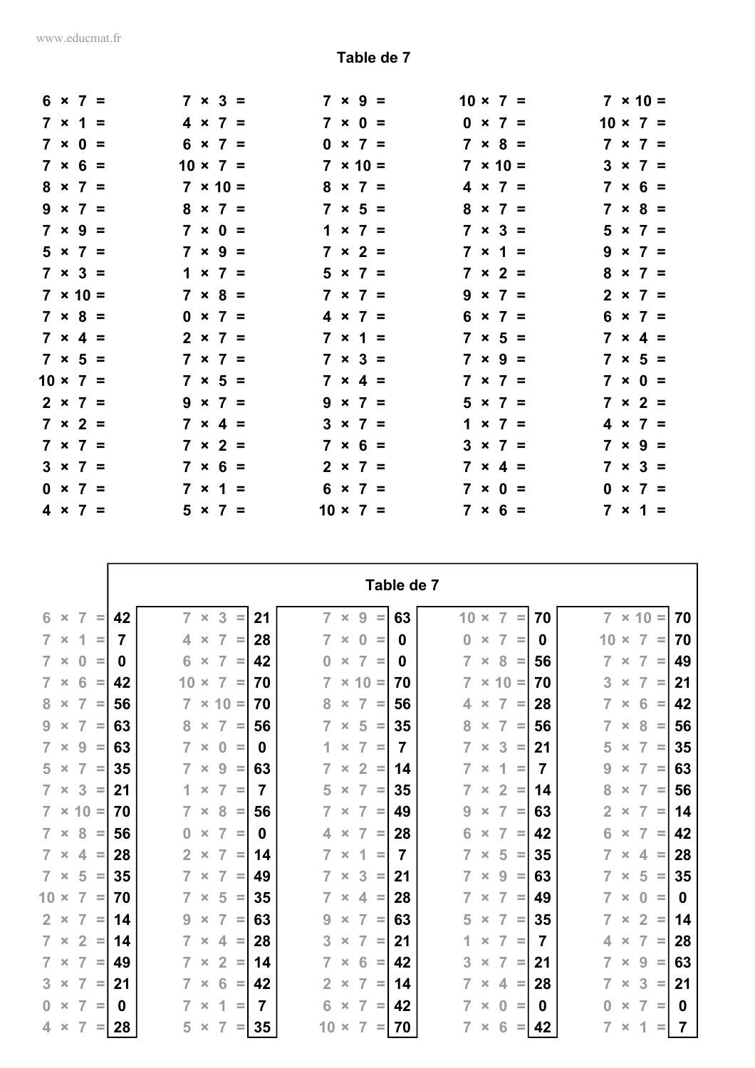|  | $6 \times 7 =$  |  | $7 \times 3 =$  |                 | $7 \times 9 =$  | $10 \times 7 =$<br>$7 \times 10 =$ |
|--|-----------------|--|-----------------|-----------------|-----------------|------------------------------------|
|  | $7 \times 1 =$  |  | $4 \times 7 =$  |                 | $7 \times 0 =$  | $0 \times 7 =$<br>$10 \times 7 =$  |
|  | $7 \times 0 =$  |  | $6 \times 7 =$  |                 | $0 \times 7 =$  | $7 \times 8 =$<br>$7 \times 7 =$   |
|  | $7 \times 6 =$  |  | $10 \times 7 =$ |                 | $7 \times 10 =$ | $7 \times 10 =$<br>$3 \times 7 =$  |
|  | $8 \times 7 =$  |  | $7 \times 10 =$ |                 | $8 \times 7 =$  | $7 \times 6 =$<br>$4 \times 7 =$   |
|  | $9 \times 7 =$  |  | $8 \times 7 =$  |                 | $7 \times 5 =$  | $8 \times 7 =$<br>$7 \times 8 =$   |
|  | $7 \times 9 =$  |  | $7 \times 0 =$  |                 | $1 \times 7 =$  | $7 \times 3 =$<br>$5 \times 7 =$   |
|  | $5 \times 7 =$  |  | $7 \times 9 =$  |                 | $7 \times 2 =$  | $7 \times 1 =$<br>$9 \times 7 =$   |
|  | $7 \times 3 =$  |  | $1 \times 7 =$  |                 | $5 \times 7 =$  | $8 \times 7 =$<br>$7 \times 2 =$   |
|  | $7 \times 10 =$ |  | $7 \times 8 =$  |                 | $7 \times 7 =$  | $9 \times 7 =$<br>$2 \times 7 =$   |
|  | $7 \times 8 =$  |  | $0 \times 7 =$  |                 | $4 \times 7 =$  | $6 \times 7 =$<br>$6 \times 7 =$   |
|  | $7 \times 4 =$  |  | $2 \times 7 =$  |                 | $7 \times 1 =$  | $7 \times 5 =$<br>$7 \times 4 =$   |
|  | $7 \times 5 =$  |  | $7 \times 7 =$  |                 | $7 \times 3 =$  | $7 \times 9 =$<br>$7 \times 5 =$   |
|  | $10 \times 7 =$ |  | $7 \times 5 =$  |                 | $7 \times 4 =$  | $7 \times 7 =$<br>$7 \times 0 =$   |
|  | $2 \times 7 =$  |  | $9 \times 7 =$  |                 | $9 \times 7 =$  | $5 \times 7 =$<br>$7 \times 2 =$   |
|  | $7 \times 2 =$  |  | $7 \times 4 =$  |                 | $3 \times 7 =$  | $1 \times 7 =$<br>$4 \times 7 =$   |
|  | $7 \times 7 =$  |  | $7 \times 2 =$  |                 | $7 \times 6 =$  | $7 \times 9 =$<br>$3 \times 7 =$   |
|  | $3 \times 7 =$  |  | $7 \times 6 =$  |                 | $2 \times 7 =$  | $7 \times 3 =$<br>$7 \times 4 =$   |
|  | $0 \times 7 =$  |  | $7 \times 1 =$  |                 | $6 \times 7 =$  | $7 \times 0 =$<br>$0 \times 7 =$   |
|  | $4 \times 7 =$  |  | $5 \times 7 =$  | $10 \times 7 =$ |                 | $7 × 6 =$<br>$7 \times 1 =$        |

|                                                          |    |                                                                 |                |                                                                | Table de 7 |                                                                |    |                                                                      |
|----------------------------------------------------------|----|-----------------------------------------------------------------|----------------|----------------------------------------------------------------|------------|----------------------------------------------------------------|----|----------------------------------------------------------------------|
| 6<br>$\overline{7}$<br>$\times$<br>$\equiv$              | 42 | $\overline{7}$<br>3<br>$\bar{\mathsf{x}}$<br>Ξ                  | 21             | $\overline{7}$<br>9<br>$\pmb{\times}$<br>Ξ                     | 63         | 10<br>$\overline{7}$<br>$\pmb{\times}$<br>Ξ                    | 70 | $\overline{7}$<br>$\times$ 10<br>70<br>$\equiv$                      |
| $7 \times$<br>1<br>$\equiv$                              | 7  | $\overline{7}$<br>4<br>$\pmb{\times}$<br>$\equiv$               | 28             | $\overline{7}$<br>$\bf{0}$<br>$\pmb{\times}$<br>$\equiv$       | 0          | $\bf{0}$<br>$\overline{7}$<br>$\times$<br>$\equiv$             | 0  | $\overline{7}$<br>10<br>70<br>$\times$<br>$\equiv$                   |
| $7 \times$<br>$\bf{0}$<br>$\equiv$                       | 0  | $\overline{7}$<br>6<br>$\pmb{\times}$<br>$=$                    | 42             | $\overline{7}$<br>0<br>$\pmb{\times}$<br>$\equiv$              | 0          | $\overline{7}$<br>8<br>$\times$<br>$\equiv$                    | 56 | 49<br>$\overline{7}$<br>7<br>$\pmb{\times}$<br>$\equiv$              |
| 6<br>$\overline{7}$<br>$\pmb{\times}$<br>$\equiv$        | 42 | 10<br>$\overline{7}$<br>$\times$<br>$\equiv$                    | 70             | $\overline{7}$<br>$\times$ 10 =                                | 70         | $\overline{7}$<br>$\times$ 10 =                                | 70 | 3<br>7<br>21<br>$\pmb{\times}$<br>$\equiv$                           |
| $\overline{7}$<br>8<br>$\pmb{\times}$<br>$\equiv$        | 56 | $\times$ 10 =<br>$\overline{7}$                                 | 70             | 8<br>$\overline{7}$<br>$\pmb{\times}$<br>$\equiv$              | 56         | $\overline{7}$<br>4<br>$\pmb{\times}$<br>$\equiv$              | 28 | 42<br>$\overline{7}$<br>6<br>$\times$<br>$\equiv$                    |
| $\overline{7}$<br>9<br>$\pmb{\times}$<br>$\equiv$        | 63 | $\overline{7}$<br>8<br>$\pmb{\times}$<br>$\equiv$               | 56             | $\overline{7}$<br>5<br>$\pmb{\times}$<br>$\equiv$              | 35         | 8<br>$\overline{7}$<br>$\pmb{\times}$<br>$\equiv$              | 56 | 56<br>7<br>8<br>$\pmb{\times}$<br>$\equiv$                           |
| 9<br>$\overline{7}$<br>$\pmb{\times}$<br>$\equiv$        | 63 | 7<br>$\Omega$<br>$\pmb{\times}$<br>$\equiv$                     | <sup>0</sup>   | 7<br>1<br>$\pmb{\times}$<br>$\equiv$                           | 7          | 7<br>3<br>$\pmb{\times}$<br>$\equiv$                           | 21 | 5<br>35<br>$\overline{7}$<br>$\pmb{\times}$<br>$\equiv$              |
| $\overline{7}$<br>$5 \times$<br>$=$                      | 35 | 9<br>$\overline{7}$<br>$\pmb{\times}$<br>$\equiv$               | 63             | $\overline{2}$<br>$\overline{7}$<br>$\pmb{\times}$<br>$\equiv$ | 14         | $\overline{7}$<br>1<br>$\pmb{\times}$<br>$\equiv$              | 7  | 63<br>9<br>$\overline{7}$<br>$\pmb{\times}$<br>$\equiv$              |
| 3<br>$7 \times$<br>$\equiv$                              | 21 | $\overline{7}$<br>$\pmb{\times}$<br>$\equiv$                    | $\overline{7}$ | 5<br>$\overline{7}$<br>$\pmb{\times}$<br>$\equiv$              | 35         | $\overline{2}$<br>$\overline{7}$<br>$\times$<br>$\equiv$       | 14 | 56<br>8<br>$\overline{7}$<br>$\pmb{\times}$<br>$\equiv$              |
| $7 \times 10 =$                                          | 70 | 7<br>8<br>$\pmb{\times}$<br>$\equiv$                            | 56             | 7<br>$\overline{7}$<br>$\pmb{\times}$<br>$\equiv$              | 49         | 9<br>$\overline{7}$<br>$\times$<br>$\equiv$                    | 63 | $\overline{2}$<br>7<br>14<br>$\pmb{\times}$<br>$\equiv$              |
| 8<br>$7 \times$<br>$\equiv$                              | 56 | $\overline{7}$<br>$\bf{0}$<br>$\pmb{\times}$<br>$\equiv$        | 0              | $\overline{7}$<br>4<br>$\pmb{\times}$<br>$\equiv$              | 28         | 6<br>$\overline{7}$<br>$\times$<br>$\equiv$                    | 42 | 6<br>$\overline{7}$<br>42<br>$\pmb{\times}$<br>$\equiv$              |
| $\overline{4}$<br>$7 \times$<br>$\equiv$                 | 28 | $\overline{7}$<br>$\overline{2}$<br>$\times$<br>$\equiv$        | 14             | $\overline{7}$<br>1<br>$\times$<br>$\equiv$                    | 7          | $\overline{7}$<br>5<br>$\times$<br>$\equiv$                    | 35 | 28<br>$\overline{7}$<br>4<br>$\times$<br>$\equiv$                    |
| 5<br>$7 \times$<br>$\equiv$                              | 35 | $\overline{7}$<br>$\times$<br>$\equiv$                          | 49             | 3<br>$\overline{7}$<br>$\pmb{\times}$<br>$\equiv$              | 21         | 7<br>9<br>$\times$<br>$\equiv$                                 | 63 | 5<br>35<br>7<br>$\pmb{\times}$<br>$\equiv$                           |
| $10 \times$<br>$\overline{7}$<br>$\equiv$                | 70 | 5<br>$\overline{7}$<br>$\pmb{\times}$<br>$\equiv$               | 35             | $\overline{7}$<br>4<br>$\pmb{\times}$<br>$\equiv$              | 28         | $\overline{7}$<br>$\overline{7}$<br>$\pmb{\times}$<br>$\equiv$ | 49 | $\overline{7}$<br>$\bf{0}$<br>0<br>$\pmb{\times}$<br>$\equiv$        |
| $\overline{7}$<br>$2 \times$<br>$\equiv$                 | 14 | $\overline{7}$<br>9<br>$\pmb{\times}$<br>$\sim$                 | 63             | $\overline{7}$<br>9<br>$\pmb{\times}$<br>$\equiv$              | 63         | 5<br>$\overline{7}$<br>$\times$<br>$\equiv$                    | 35 | $\overline{2}$<br>$\overline{7}$<br>14<br>$\pmb{\times}$<br>$\equiv$ |
| $\overline{7}$<br>$\overline{2}$<br>$\times$<br>$\equiv$ | 14 | 7<br>4<br>$\pmb{\times}$<br>$\equiv$                            | 28             | 3<br>7<br>$\pmb{\times}$<br>Ξ                                  | 21         | 7<br>1<br>$\pmb{\times}$<br>$\equiv$                           | 7  | 7<br>28<br>4<br>$\pmb{\times}$<br>$\equiv$                           |
| $\overline{7}$<br>$7 \times$<br>$\equiv$                 | 49 | $\overline{2}$<br>$\overline{7}$<br>$\pmb{\times}$<br>$\equiv$  | 14             | $\overline{7}$<br>6<br>$\pmb{\times}$<br>$\equiv$              | 42         | 3<br>$\overline{7}$<br>$\pmb{\times}$<br>$\equiv$              | 21 | 63<br>$\overline{7}$<br>9<br>$\pmb{\times}$<br>$\equiv$              |
| $\overline{7}$<br>$3 \times$<br>$\equiv$                 | 21 | $6\phantom{1}6$<br>$\overline{7}$<br>$\pmb{\times}$<br>$\equiv$ | 42             | $\overline{7}$<br>$\overline{2}$<br>$\pmb{\times}$<br>$\equiv$ | 14         | $\overline{7}$<br>$\overline{4}$<br>$\pmb{\times}$<br>$\equiv$ | 28 | 3<br>$\overline{7}$<br>21<br>$\pmb{\times}$<br>$\equiv$              |
| $0 \times$<br>7<br>$\equiv$                              | 0  | 7<br>1<br>$\pmb{\times}$<br>$\equiv$                            | 7              | 6<br>7<br>$\pmb{\times}$<br>$\equiv$                           | 42         | 7<br>$\bf{0}$<br>$\pmb{\times}$<br>$\equiv$                    | 0  | $\Omega$<br>7<br>0<br>$\pmb{\times}$<br>$\equiv$                     |
| $4 \times$<br>$\overline{7}$<br>$=$                      | 28 | 5<br>$\overline{7}$<br>$\pmb{\times}$<br>$=$                    | 35             | $10 \times$<br>$\overline{7}$<br>$=$                           | 70         | $\overline{7}$<br>6<br>$\times$                                | 42 | 7<br>1<br>7<br>$\pmb{\times}$<br>$=$                                 |